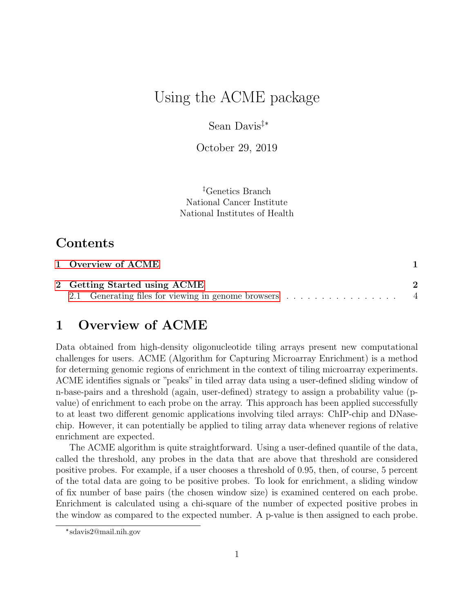# Using the ACME package

Sean Davis‡\*

October 29, 2019

‡Genetics Branch National Cancer Institute National Institutes of Health

# Contents

| 1 Overview of ACME           |  |
|------------------------------|--|
| 2 Getting Started using ACME |  |
|                              |  |

# <span id="page-0-0"></span>1 Overview of ACME

Data obtained from high-density oligonucleotide tiling arrays present new computational challenges for users. ACME (Algorithm for Capturing Microarray Enrichment) is a method for determing genomic regions of enrichment in the context of tiling microarray experiments. ACME identifies signals or "peaks" in tiled array data using a user-defined sliding window of n-base-pairs and a threshold (again, user-defined) strategy to assign a probability value (pvalue) of enrichment to each probe on the array. This approach has been applied successfully to at least two different genomic applications involving tiled arrays: ChIP-chip and DNasechip. However, it can potentially be applied to tiling array data whenever regions of relative enrichment are expected.

The ACME algorithm is quite straightforward. Using a user-defined quantile of the data, called the threshold, any probes in the data that are above that threshold are considered positive probes. For example, if a user chooses a threshold of 0.95, then, of course, 5 percent of the total data are going to be positive probes. To look for enrichment, a sliding window of fix number of base pairs (the chosen window size) is examined centered on each probe. Enrichment is calculated using a chi-square of the number of expected positive probes in the window as compared to the expected number. A p-value is then assigned to each probe.

<sup>\*</sup> sdavis2@mail.nih.gov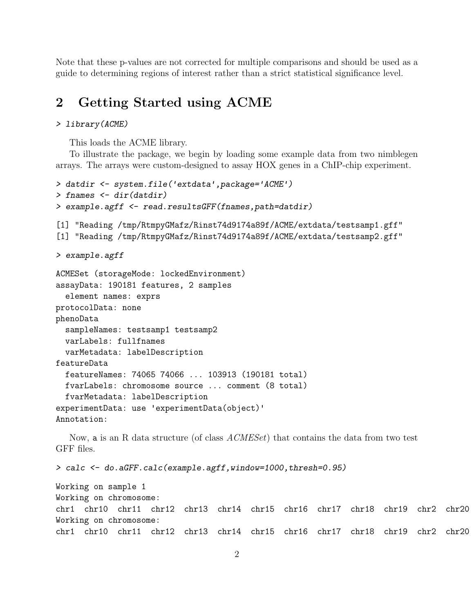Note that these p-values are not corrected for multiple comparisons and should be used as a guide to determining regions of interest rather than a strict statistical significance level.

### <span id="page-1-0"></span>2 Getting Started using ACME

#### > library(ACME)

This loads the ACME library.

To illustrate the package, we begin by loading some example data from two nimblegen arrays. The arrays were custom-designed to assay HOX genes in a ChIP-chip experiment.

```
> datdir <- system.file('extdata',package='ACME')
> fnames <- dir(datdir)
> example.agff <- read.resultsGFF(fnames,path=datdir)
[1] "Reading /tmp/RtmpyGMafz/Rinst74d9174a89f/ACME/extdata/testsamp1.gff"
[1] "Reading /tmp/RtmpyGMafz/Rinst74d9174a89f/ACME/extdata/testsamp2.gff"
> example.agff
ACMESet (storageMode: lockedEnvironment)
assayData: 190181 features, 2 samples
  element names: exprs
protocolData: none
phenoData
 sampleNames: testsamp1 testsamp2
 varLabels: fullfnames
 varMetadata: labelDescription
featureData
 featureNames: 74065 74066 ... 103913 (190181 total)
 fvarLabels: chromosome source ... comment (8 total)
 fvarMetadata: labelDescription
experimentData: use 'experimentData(object)'
Annotation:
```
Now, a is an R data structure (of class  $ACMESet$ ) that contains the data from two test GFF files.

> calc <- do.aGFF.calc(example.agff,window=1000,thresh=0.95)

```
Working on sample 1
Working on chromosome:
chr1 chr10 chr11 chr12 chr13 chr14 chr15 chr16 chr17 chr18 chr19 chr2 chr20
Working on chromosome:
chr1 chr10 chr11 chr12 chr13 chr14 chr15 chr16 chr17 chr18 chr19 chr2 chr20
```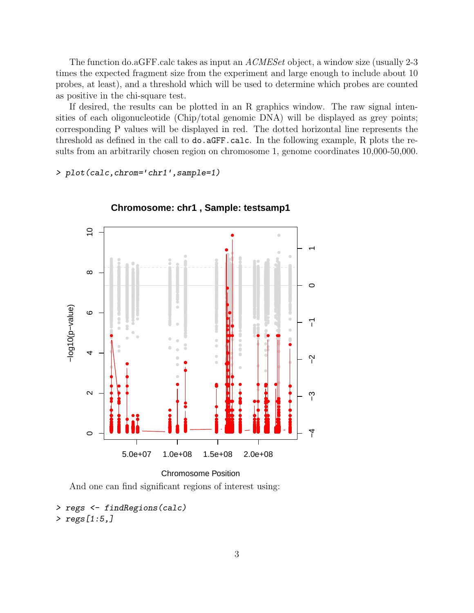The function do. aGFF calc takes as input an  $ACMESet$  object, a window size (usually 2-3 times the expected fragment size from the experiment and large enough to include about 10 probes, at least), and a threshold which will be used to determine which probes are counted as positive in the chi-square test.

If desired, the results can be plotted in an R graphics window. The raw signal intensities of each oligonucleotide (Chip/total genomic DNA) will be displayed as grey points; corresponding P values will be displayed in red. The dotted horizontal line represents the threshold as defined in the call to do. aGFF. calc. In the following example, R plots the results from an arbitrarily chosen region on chromosome 1, genome coordinates 10,000-50,000.

> plot(calc, chrom='chr1', sample=1)



Chromosome: chr1, Sample: testsamp1

```
Chromosome Position
```
And one can find significant regions of interest using:

```
> regs <- findRegions(calc)
> regs[1:5]
```